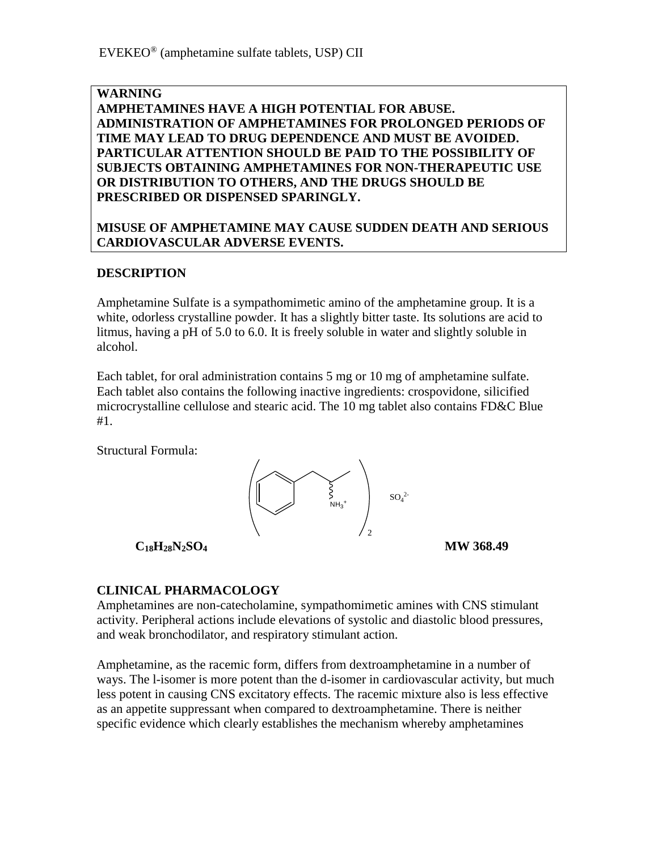**WARNING AMPHETAMINES HAVE A HIGH POTENTIAL FOR ABUSE. ADMINISTRATION OF AMPHETAMINES FOR PROLONGED PERIODS OF TIME MAY LEAD TO DRUG DEPENDENCE AND MUST BE AVOIDED. PARTICULAR ATTENTION SHOULD BE PAID TO THE POSSIBILITY OF SUBJECTS OBTAINING AMPHETAMINES FOR NON-THERAPEUTIC USE OR DISTRIBUTION TO OTHERS, AND THE DRUGS SHOULD BE PRESCRIBED OR DISPENSED SPARINGLY.**

## **MISUSE OF AMPHETAMINE MAY CAUSE SUDDEN DEATH AND SERIOUS CARDIOVASCULAR ADVERSE EVENTS.**

## **DESCRIPTION**

Amphetamine Sulfate is a sympathomimetic amino of the amphetamine group. It is a white, odorless crystalline powder. It has a slightly bitter taste. Its solutions are acid to litmus, having a pH of 5.0 to 6.0. It is freely soluble in water and slightly soluble in alcohol.

Each tablet, for oral administration contains 5 mg or 10 mg of amphetamine sulfate. Each tablet also contains the following inactive ingredients: crospovidone, silicified microcrystalline cellulose and stearic acid. The 10 mg tablet also contains FD&C Blue #1.

Structural Formula:



# **CLINICAL PHARMACOLOGY**

Amphetamines are non-catecholamine, sympathomimetic amines with CNS stimulant activity. Peripheral actions include elevations of systolic and diastolic blood pressures, and weak bronchodilator, and respiratory stimulant action.

Amphetamine, as the racemic form, differs from dextroamphetamine in a number of ways. The l-isomer is more potent than the d-isomer in cardiovascular activity, but much less potent in causing CNS excitatory effects. The racemic mixture also is less effective as an appetite suppressant when compared to dextroamphetamine. There is neither specific evidence which clearly establishes the mechanism whereby amphetamines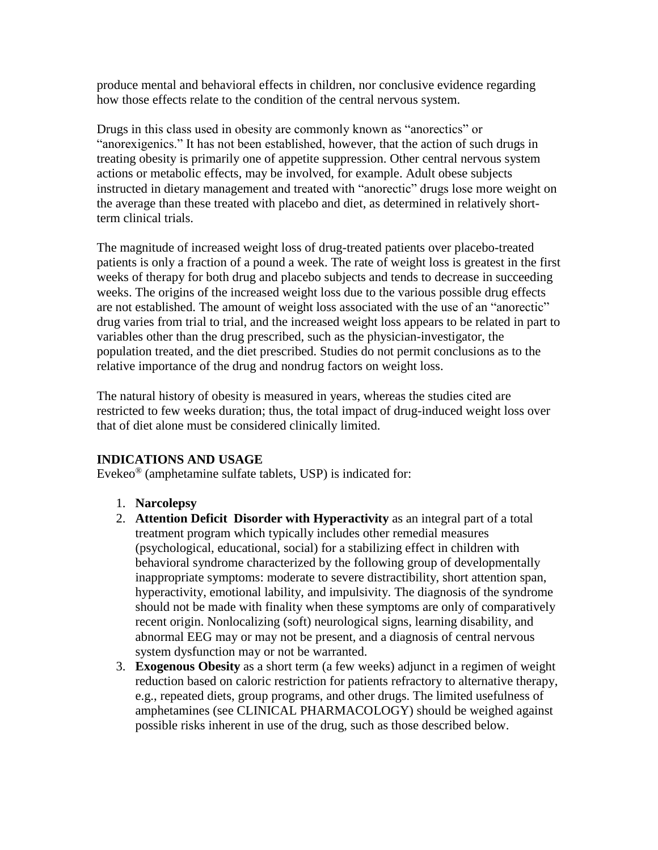produce mental and behavioral effects in children, nor conclusive evidence regarding how those effects relate to the condition of the central nervous system.

Drugs in this class used in obesity are commonly known as "anorectics" or "anorexigenics." It has not been established, however, that the action of such drugs in treating obesity is primarily one of appetite suppression. Other central nervous system actions or metabolic effects, may be involved, for example. Adult obese subjects instructed in dietary management and treated with "anorectic" drugs lose more weight on the average than these treated with placebo and diet, as determined in relatively shortterm clinical trials.

The magnitude of increased weight loss of drug-treated patients over placebo-treated patients is only a fraction of a pound a week. The rate of weight loss is greatest in the first weeks of therapy for both drug and placebo subjects and tends to decrease in succeeding weeks. The origins of the increased weight loss due to the various possible drug effects are not established. The amount of weight loss associated with the use of an "anorectic" drug varies from trial to trial, and the increased weight loss appears to be related in part to variables other than the drug prescribed, such as the physician-investigator, the population treated, and the diet prescribed. Studies do not permit conclusions as to the relative importance of the drug and nondrug factors on weight loss.

The natural history of obesity is measured in years, whereas the studies cited are restricted to few weeks duration; thus, the total impact of drug-induced weight loss over that of diet alone must be considered clinically limited.

### **INDICATIONS AND USAGE**

Evekeo® (amphetamine sulfate tablets, USP) is indicated for:

- 1. **Narcolepsy**
- 2. **Attention Deficit Disorder with Hyperactivity** as an integral part of a total treatment program which typically includes other remedial measures (psychological, educational, social) for a stabilizing effect in children with behavioral syndrome characterized by the following group of developmentally inappropriate symptoms: moderate to severe distractibility, short attention span, hyperactivity, emotional lability, and impulsivity. The diagnosis of the syndrome should not be made with finality when these symptoms are only of comparatively recent origin. Nonlocalizing (soft) neurological signs, learning disability, and abnormal EEG may or may not be present, and a diagnosis of central nervous system dysfunction may or not be warranted.
- 3. **Exogenous Obesity** as a short term (a few weeks) adjunct in a regimen of weight reduction based on caloric restriction for patients refractory to alternative therapy, e.g., repeated diets, group programs, and other drugs. The limited usefulness of amphetamines (see CLINICAL PHARMACOLOGY) should be weighed against possible risks inherent in use of the drug, such as those described below.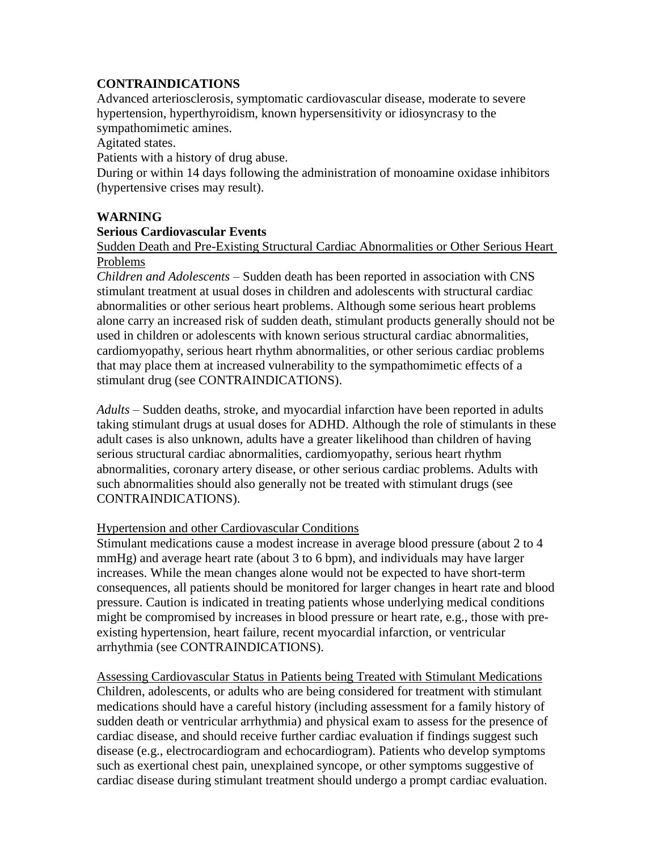### **CONTRAINDICATIONS**

Advanced arteriosclerosis, symptomatic cardiovascular disease, moderate to severe hypertension, hyperthyroidism, known hypersensitivity or idiosyncrasy to the sympathomimetic amines.

Agitated states.

Patients with a history of drug abuse.

During or within 14 days following the administration of monoamine oxidase inhibitors (hypertensive crises may result).

#### **WARNING**

#### **Serious Cardiovascular Events**

Sudden Death and Pre-Existing Structural Cardiac Abnormalities or Other Serious Heart Problems

*Children and Adolescents* – Sudden death has been reported in association with CNS stimulant treatment at usual doses in children and adolescents with structural cardiac abnormalities or other serious heart problems. Although some serious heart problems alone carry an increased risk of sudden death, stimulant products generally should not be used in children or adolescents with known serious structural cardiac abnormalities, cardiomyopathy, serious heart rhythm abnormalities, or other serious cardiac problems that may place them at increased vulnerability to the sympathomimetic effects of a stimulant drug (see CONTRAINDICATIONS).

*Adults* – Sudden deaths, stroke, and myocardial infarction have been reported in adults taking stimulant drugs at usual doses for ADHD. Although the role of stimulants in these adult cases is also unknown, adults have a greater likelihood than children of having serious structural cardiac abnormalities, cardiomyopathy, serious heart rhythm abnormalities, coronary artery disease, or other serious cardiac problems. Adults with such abnormalities should also generally not be treated with stimulant drugs (see CONTRAINDICATIONS).

#### Hypertension and other Cardiovascular Conditions

Stimulant medications cause a modest increase in average blood pressure (about 2 to 4 mmHg) and average heart rate (about 3 to 6 bpm), and individuals may have larger increases. While the mean changes alone would not be expected to have short-term consequences, all patients should be monitored for larger changes in heart rate and blood pressure. Caution is indicated in treating patients whose underlying medical conditions might be compromised by increases in blood pressure or heart rate, e.g., those with preexisting hypertension, heart failure, recent myocardial infarction, or ventricular arrhythmia (see CONTRAINDICATIONS).

Assessing Cardiovascular Status in Patients being Treated with Stimulant Medications Children, adolescents, or adults who are being considered for treatment with stimulant medications should have a careful history (including assessment for a family history of sudden death or ventricular arrhythmia) and physical exam to assess for the presence of cardiac disease, and should receive further cardiac evaluation if findings suggest such disease (e.g., electrocardiogram and echocardiogram). Patients who develop symptoms such as exertional chest pain, unexplained syncope, or other symptoms suggestive of cardiac disease during stimulant treatment should undergo a prompt cardiac evaluation.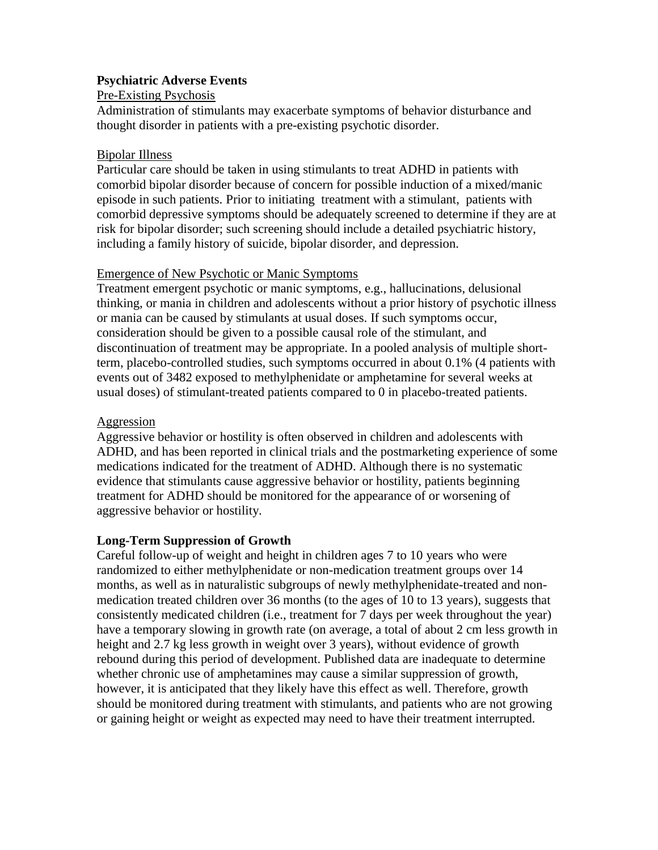### **Psychiatric Adverse Events**

#### Pre-Existing Psychosis

Administration of stimulants may exacerbate symptoms of behavior disturbance and thought disorder in patients with a pre-existing psychotic disorder.

#### Bipolar Illness

Particular care should be taken in using stimulants to treat ADHD in patients with comorbid bipolar disorder because of concern for possible induction of a mixed/manic episode in such patients. Prior to initiating treatment with a stimulant, patients with comorbid depressive symptoms should be adequately screened to determine if they are at risk for bipolar disorder; such screening should include a detailed psychiatric history, including a family history of suicide, bipolar disorder, and depression.

#### Emergence of New Psychotic or Manic Symptoms

Treatment emergent psychotic or manic symptoms, e.g., hallucinations, delusional thinking, or mania in children and adolescents without a prior history of psychotic illness or mania can be caused by stimulants at usual doses. If such symptoms occur, consideration should be given to a possible causal role of the stimulant, and discontinuation of treatment may be appropriate. In a pooled analysis of multiple shortterm, placebo-controlled studies, such symptoms occurred in about 0.1% (4 patients with events out of 3482 exposed to methylphenidate or amphetamine for several weeks at usual doses) of stimulant-treated patients compared to 0 in placebo-treated patients.

#### Aggression

Aggressive behavior or hostility is often observed in children and adolescents with ADHD, and has been reported in clinical trials and the postmarketing experience of some medications indicated for the treatment of ADHD. Although there is no systematic evidence that stimulants cause aggressive behavior or hostility, patients beginning treatment for ADHD should be monitored for the appearance of or worsening of aggressive behavior or hostility.

### **Long-Term Suppression of Growth**

Careful follow-up of weight and height in children ages 7 to 10 years who were randomized to either methylphenidate or non-medication treatment groups over 14 months, as well as in naturalistic subgroups of newly methylphenidate-treated and nonmedication treated children over 36 months (to the ages of 10 to 13 years), suggests that consistently medicated children (i.e., treatment for 7 days per week throughout the year) have a temporary slowing in growth rate (on average, a total of about 2 cm less growth in height and 2.7 kg less growth in weight over 3 years), without evidence of growth rebound during this period of development. Published data are inadequate to determine whether chronic use of amphetamines may cause a similar suppression of growth, however, it is anticipated that they likely have this effect as well. Therefore, growth should be monitored during treatment with stimulants, and patients who are not growing or gaining height or weight as expected may need to have their treatment interrupted.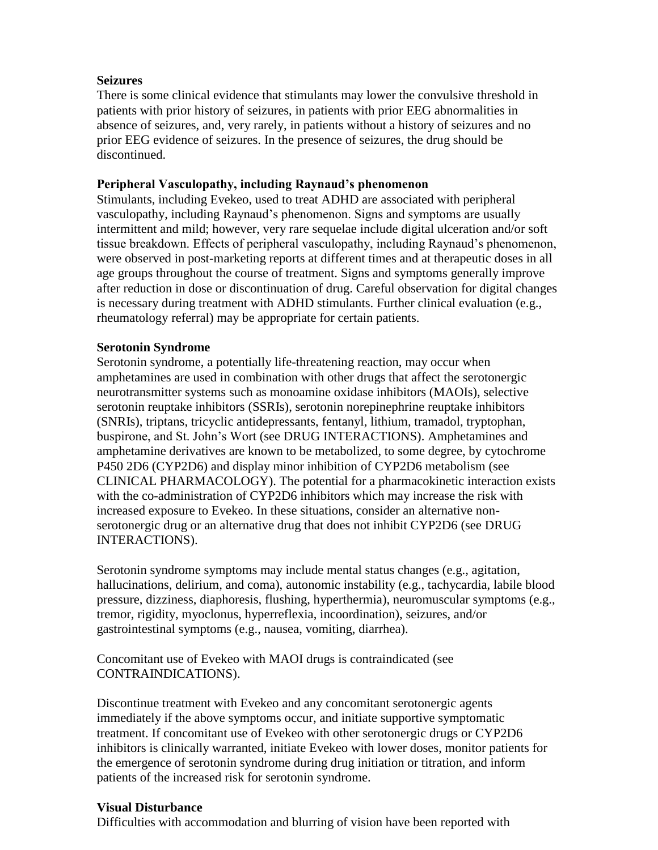### **Seizures**

There is some clinical evidence that stimulants may lower the convulsive threshold in patients with prior history of seizures, in patients with prior EEG abnormalities in absence of seizures, and, very rarely, in patients without a history of seizures and no prior EEG evidence of seizures. In the presence of seizures, the drug should be discontinued.

### **Peripheral Vasculopathy, including Raynaud's phenomenon**

Stimulants, including Evekeo, used to treat ADHD are associated with peripheral vasculopathy, including Raynaud's phenomenon. Signs and symptoms are usually intermittent and mild; however, very rare sequelae include digital ulceration and/or soft tissue breakdown. Effects of peripheral vasculopathy, including Raynaud's phenomenon, were observed in post-marketing reports at different times and at therapeutic doses in all age groups throughout the course of treatment. Signs and symptoms generally improve after reduction in dose or discontinuation of drug. Careful observation for digital changes is necessary during treatment with ADHD stimulants. Further clinical evaluation (e.g., rheumatology referral) may be appropriate for certain patients.

### **Serotonin Syndrome**

Serotonin syndrome, a potentially life-threatening reaction, may occur when amphetamines are used in combination with other drugs that affect the serotonergic neurotransmitter systems such as monoamine oxidase inhibitors (MAOIs), selective serotonin reuptake inhibitors (SSRIs), serotonin norepinephrine reuptake inhibitors (SNRIs), triptans, tricyclic antidepressants, fentanyl, lithium, tramadol, tryptophan, buspirone, and St. John's Wort (see DRUG INTERACTIONS). Amphetamines and amphetamine derivatives are known to be metabolized, to some degree, by cytochrome P450 2D6 (CYP2D6) and display minor inhibition of CYP2D6 metabolism (see CLINICAL PHARMACOLOGY). The potential for a pharmacokinetic interaction exists with the co-administration of CYP2D6 inhibitors which may increase the risk with increased exposure to Evekeo. In these situations, consider an alternative nonserotonergic drug or an alternative drug that does not inhibit CYP2D6 (see DRUG INTERACTIONS).

Serotonin syndrome symptoms may include mental status changes (e.g., agitation, hallucinations, delirium, and coma), autonomic instability (e.g., tachycardia, labile blood pressure, dizziness, diaphoresis, flushing, hyperthermia), neuromuscular symptoms (e.g., tremor, rigidity, myoclonus, hyperreflexia, incoordination), seizures, and/or gastrointestinal symptoms (e.g., nausea, vomiting, diarrhea).

Concomitant use of Evekeo with MAOI drugs is contraindicated (see CONTRAINDICATIONS).

Discontinue treatment with Evekeo and any concomitant serotonergic agents immediately if the above symptoms occur, and initiate supportive symptomatic treatment. If concomitant use of Evekeo with other serotonergic drugs or CYP2D6 inhibitors is clinically warranted, initiate Evekeo with lower doses, monitor patients for the emergence of serotonin syndrome during drug initiation or titration, and inform patients of the increased risk for serotonin syndrome.

#### **Visual Disturbance**

Difficulties with accommodation and blurring of vision have been reported with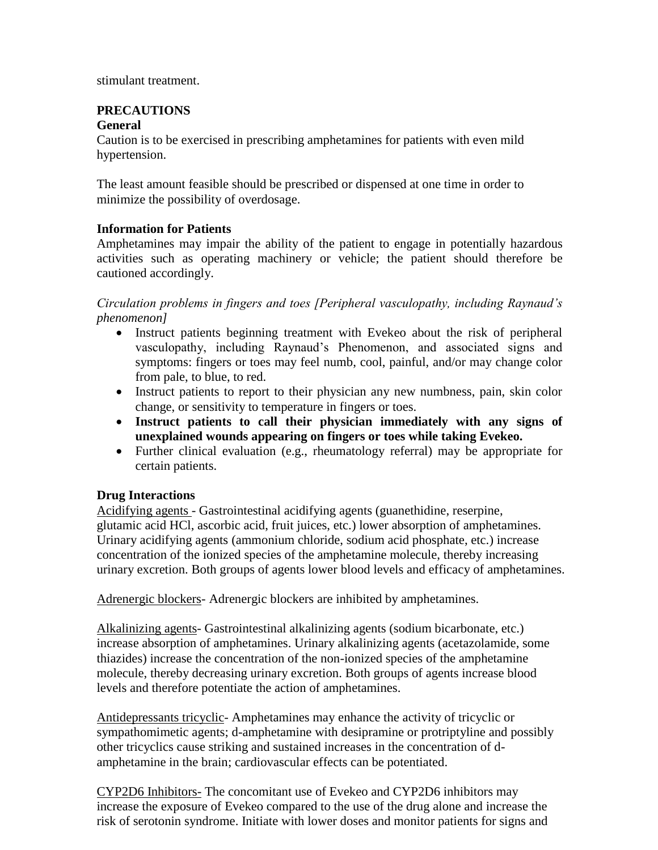stimulant treatment.

# **PRECAUTIONS**

### **General**

Caution is to be exercised in prescribing amphetamines for patients with even mild hypertension.

The least amount feasible should be prescribed or dispensed at one time in order to minimize the possibility of overdosage.

### **Information for Patients**

Amphetamines may impair the ability of the patient to engage in potentially hazardous activities such as operating machinery or vehicle; the patient should therefore be cautioned accordingly.

*Circulation problems in fingers and toes [Peripheral vasculopathy, including Raynaud's phenomenon]*

- Instruct patients beginning treatment with Evekeo about the risk of peripheral vasculopathy, including Raynaud's Phenomenon, and associated signs and symptoms: fingers or toes may feel numb, cool, painful, and/or may change color from pale, to blue, to red.
- Instruct patients to report to their physician any new numbness, pain, skin color change, or sensitivity to temperature in fingers or toes.
- **Instruct patients to call their physician immediately with any signs of unexplained wounds appearing on fingers or toes while taking Evekeo.**
- Further clinical evaluation (e.g., rheumatology referral) may be appropriate for certain patients.

### **Drug Interactions**

Acidifying agents - Gastrointestinal acidifying agents (guanethidine, reserpine, glutamic acid HCl, ascorbic acid, fruit juices, etc.) lower absorption of amphetamines. Urinary acidifying agents (ammonium chloride, sodium acid phosphate, etc.) increase concentration of the ionized species of the amphetamine molecule, thereby increasing urinary excretion. Both groups of agents lower blood levels and efficacy of amphetamines.

Adrenergic blockers- Adrenergic blockers are inhibited by amphetamines.

Alkalinizing agents- Gastrointestinal alkalinizing agents (sodium bicarbonate, etc.) increase absorption of amphetamines. Urinary alkalinizing agents (acetazolamide, some thiazides) increase the concentration of the non-ionized species of the amphetamine molecule, thereby decreasing urinary excretion. Both groups of agents increase blood levels and therefore potentiate the action of amphetamines.

Antidepressants tricyclic- Amphetamines may enhance the activity of tricyclic or sympathomimetic agents; d-amphetamine with desipramine or protriptyline and possibly other tricyclics cause striking and sustained increases in the concentration of damphetamine in the brain; cardiovascular effects can be potentiated.

CYP2D6 Inhibitors- The concomitant use of Evekeo and CYP2D6 inhibitors may increase the exposure of Evekeo compared to the use of the drug alone and increase the risk of serotonin syndrome. Initiate with lower doses and monitor patients for signs and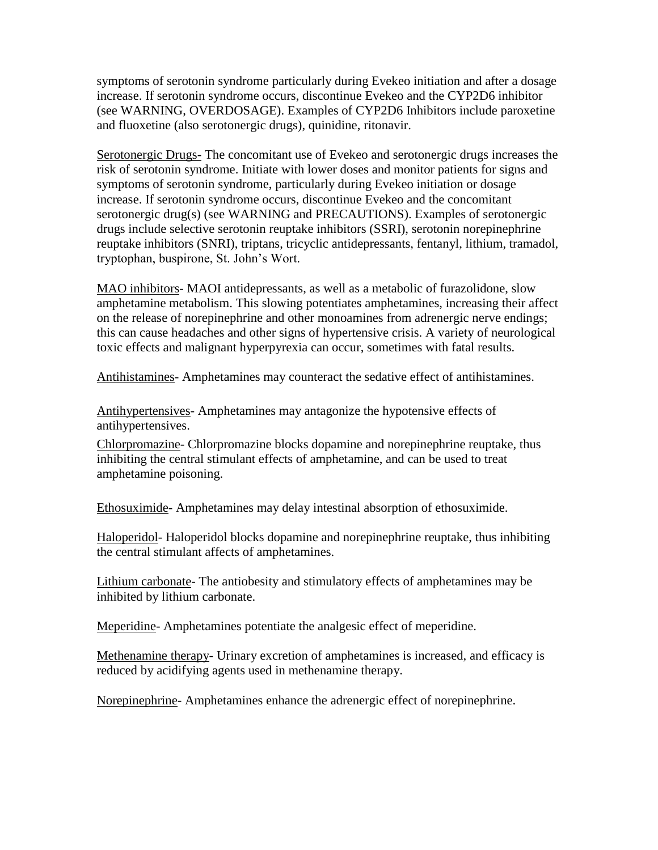symptoms of serotonin syndrome particularly during Evekeo initiation and after a dosage increase. If serotonin syndrome occurs, discontinue Evekeo and the CYP2D6 inhibitor (see WARNING, OVERDOSAGE). Examples of CYP2D6 Inhibitors include paroxetine and fluoxetine (also serotonergic drugs), quinidine, ritonavir.

Serotonergic Drugs- The concomitant use of Evekeo and serotonergic drugs increases the risk of serotonin syndrome. Initiate with lower doses and monitor patients for signs and symptoms of serotonin syndrome, particularly during Evekeo initiation or dosage increase. If serotonin syndrome occurs, discontinue Evekeo and the concomitant serotonergic drug(s) (see WARNING and PRECAUTIONS). Examples of serotonergic drugs include selective serotonin reuptake inhibitors (SSRI), serotonin norepinephrine reuptake inhibitors (SNRI), triptans, tricyclic antidepressants, fentanyl, lithium, tramadol, tryptophan, buspirone, St. John's Wort.

MAO inhibitors- MAOI antidepressants, as well as a metabolic of furazolidone, slow amphetamine metabolism. This slowing potentiates amphetamines, increasing their affect on the release of norepinephrine and other monoamines from adrenergic nerve endings; this can cause headaches and other signs of hypertensive crisis. A variety of neurological toxic effects and malignant hyperpyrexia can occur, sometimes with fatal results.

Antihistamines- Amphetamines may counteract the sedative effect of antihistamines.

Antihypertensives- Amphetamines may antagonize the hypotensive effects of antihypertensives.

Chlorpromazine- Chlorpromazine blocks dopamine and norepinephrine reuptake, thus inhibiting the central stimulant effects of amphetamine, and can be used to treat amphetamine poisoning.

Ethosuximide- Amphetamines may delay intestinal absorption of ethosuximide.

Haloperidol- Haloperidol blocks dopamine and norepinephrine reuptake, thus inhibiting the central stimulant affects of amphetamines.

Lithium carbonate- The antiobesity and stimulatory effects of amphetamines may be inhibited by lithium carbonate.

Meperidine- Amphetamines potentiate the analgesic effect of meperidine.

Methenamine therapy- Urinary excretion of amphetamines is increased, and efficacy is reduced by acidifying agents used in methenamine therapy.

Norepinephrine- Amphetamines enhance the adrenergic effect of norepinephrine.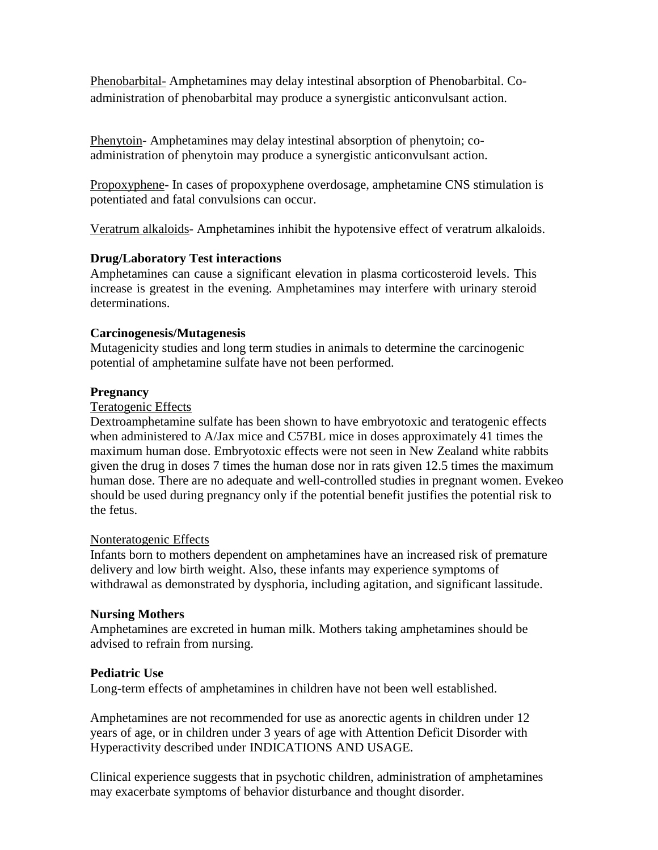Phenobarbital- Amphetamines may delay intestinal absorption of Phenobarbital. Coadministration of phenobarbital may produce a synergistic anticonvulsant action.

Phenytoin- Amphetamines may delay intestinal absorption of phenytoin; coadministration of phenytoin may produce a synergistic anticonvulsant action.

Propoxyphene- In cases of propoxyphene overdosage, amphetamine CNS stimulation is potentiated and fatal convulsions can occur.

Veratrum alkaloids- Amphetamines inhibit the hypotensive effect of veratrum alkaloids.

### **Drug/Laboratory Test interactions**

Amphetamines can cause a significant elevation in plasma corticosteroid levels. This increase is greatest in the evening. Amphetamines may interfere with urinary steroid determinations.

#### **Carcinogenesis/Mutagenesis**

Mutagenicity studies and long term studies in animals to determine the carcinogenic potential of amphetamine sulfate have not been performed.

#### **Pregnancy**

#### Teratogenic Effects

Dextroamphetamine sulfate has been shown to have embryotoxic and teratogenic effects when administered to A/Jax mice and C57BL mice in doses approximately 41 times the maximum human dose. Embryotoxic effects were not seen in New Zealand white rabbits given the drug in doses 7 times the human dose nor in rats given 12.5 times the maximum human dose. There are no adequate and well-controlled studies in pregnant women. Evekeo should be used during pregnancy only if the potential benefit justifies the potential risk to the fetus.

#### Nonteratogenic Effects

Infants born to mothers dependent on amphetamines have an increased risk of premature delivery and low birth weight. Also, these infants may experience symptoms of withdrawal as demonstrated by dysphoria, including agitation, and significant lassitude.

#### **Nursing Mothers**

Amphetamines are excreted in human milk. Mothers taking amphetamines should be advised to refrain from nursing.

### **Pediatric Use**

Long-term effects of amphetamines in children have not been well established.

Amphetamines are not recommended for use as anorectic agents in children under 12 years of age, or in children under 3 years of age with Attention Deficit Disorder with Hyperactivity described under INDICATIONS AND USAGE.

Clinical experience suggests that in psychotic children, administration of amphetamines may exacerbate symptoms of behavior disturbance and thought disorder.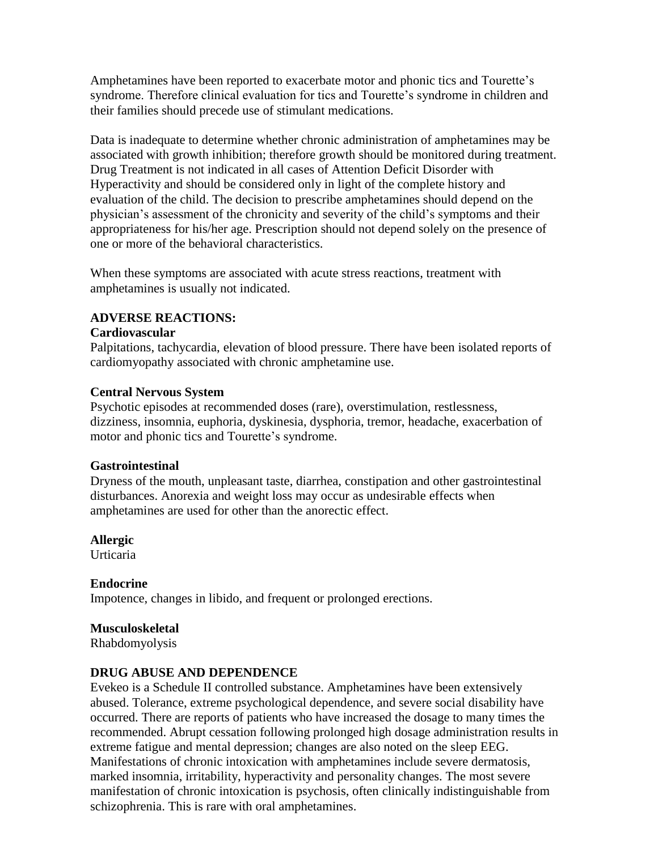Amphetamines have been reported to exacerbate motor and phonic tics and Tourette's syndrome. Therefore clinical evaluation for tics and Tourette's syndrome in children and their families should precede use of stimulant medications.

Data is inadequate to determine whether chronic administration of amphetamines may be associated with growth inhibition; therefore growth should be monitored during treatment. Drug Treatment is not indicated in all cases of Attention Deficit Disorder with Hyperactivity and should be considered only in light of the complete history and evaluation of the child. The decision to prescribe amphetamines should depend on the physician's assessment of the chronicity and severity of the child's symptoms and their appropriateness for his/her age. Prescription should not depend solely on the presence of one or more of the behavioral characteristics.

When these symptoms are associated with acute stress reactions, treatment with amphetamines is usually not indicated.

#### **ADVERSE REACTIONS:**

#### **Cardiovascular**

Palpitations, tachycardia, elevation of blood pressure. There have been isolated reports of cardiomyopathy associated with chronic amphetamine use.

#### **Central Nervous System**

Psychotic episodes at recommended doses (rare), overstimulation, restlessness, dizziness, insomnia, euphoria, dyskinesia, dysphoria, tremor, headache, exacerbation of motor and phonic tics and Tourette's syndrome.

#### **Gastrointestinal**

Dryness of the mouth, unpleasant taste, diarrhea, constipation and other gastrointestinal disturbances. Anorexia and weight loss may occur as undesirable effects when amphetamines are used for other than the anorectic effect.

### **Allergic**

Urticaria

#### **Endocrine**

Impotence, changes in libido, and frequent or prolonged erections.

#### **Musculoskeletal**

Rhabdomyolysis

#### **DRUG ABUSE AND DEPENDENCE**

Evekeo is a Schedule II controlled substance. Amphetamines have been extensively abused. Tolerance, extreme psychological dependence, and severe social disability have occurred. There are reports of patients who have increased the dosage to many times the recommended. Abrupt cessation following prolonged high dosage administration results in extreme fatigue and mental depression; changes are also noted on the sleep EEG. Manifestations of chronic intoxication with amphetamines include severe dermatosis, marked insomnia, irritability, hyperactivity and personality changes. The most severe manifestation of chronic intoxication is psychosis, often clinically indistinguishable from schizophrenia. This is rare with oral amphetamines.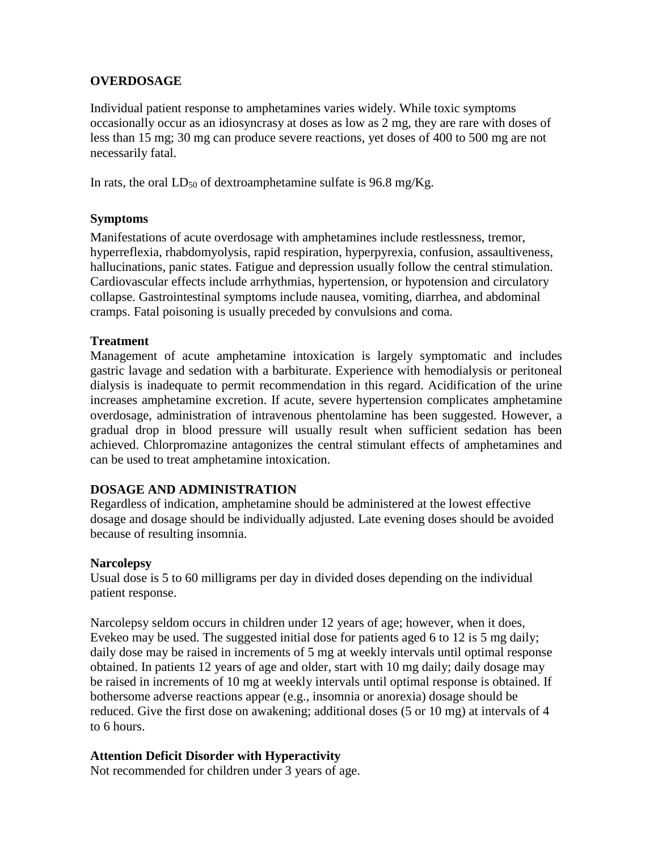#### **OVERDOSAGE**

Individual patient response to amphetamines varies widely. While toxic symptoms occasionally occur as an idiosyncrasy at doses as low as 2 mg, they are rare with doses of less than 15 mg; 30 mg can produce severe reactions, yet doses of 400 to 500 mg are not necessarily fatal.

In rats, the oral  $LD_{50}$  of dextroamphetamine sulfate is 96.8 mg/Kg.

#### **Symptoms**

Manifestations of acute overdosage with amphetamines include restlessness, tremor, hyperreflexia, rhabdomyolysis, rapid respiration, hyperpyrexia, confusion, assaultiveness, hallucinations, panic states. Fatigue and depression usually follow the central stimulation. Cardiovascular effects include arrhythmias, hypertension, or hypotension and circulatory collapse. Gastrointestinal symptoms include nausea, vomiting, diarrhea, and abdominal cramps. Fatal poisoning is usually preceded by convulsions and coma.

#### **Treatment**

Management of acute amphetamine intoxication is largely symptomatic and includes gastric lavage and sedation with a barbiturate. Experience with hemodialysis or peritoneal dialysis is inadequate to permit recommendation in this regard. Acidification of the urine increases amphetamine excretion. If acute, severe hypertension complicates amphetamine overdosage, administration of intravenous phentolamine has been suggested. However, a gradual drop in blood pressure will usually result when sufficient sedation has been achieved. Chlorpromazine antagonizes the central stimulant effects of amphetamines and can be used to treat amphetamine intoxication.

#### **DOSAGE AND ADMINISTRATION**

Regardless of indication, amphetamine should be administered at the lowest effective dosage and dosage should be individually adjusted. Late evening doses should be avoided because of resulting insomnia.

#### **Narcolepsy**

Usual dose is 5 to 60 milligrams per day in divided doses depending on the individual patient response.

Narcolepsy seldom occurs in children under 12 years of age; however, when it does, Evekeo may be used. The suggested initial dose for patients aged 6 to 12 is 5 mg daily; daily dose may be raised in increments of 5 mg at weekly intervals until optimal response obtained. In patients 12 years of age and older, start with 10 mg daily; daily dosage may be raised in increments of 10 mg at weekly intervals until optimal response is obtained. If bothersome adverse reactions appear (e.g., insomnia or anorexia) dosage should be reduced. Give the first dose on awakening; additional doses (5 or 10 mg) at intervals of 4 to 6 hours.

#### **Attention Deficit Disorder with Hyperactivity**

Not recommended for children under 3 years of age.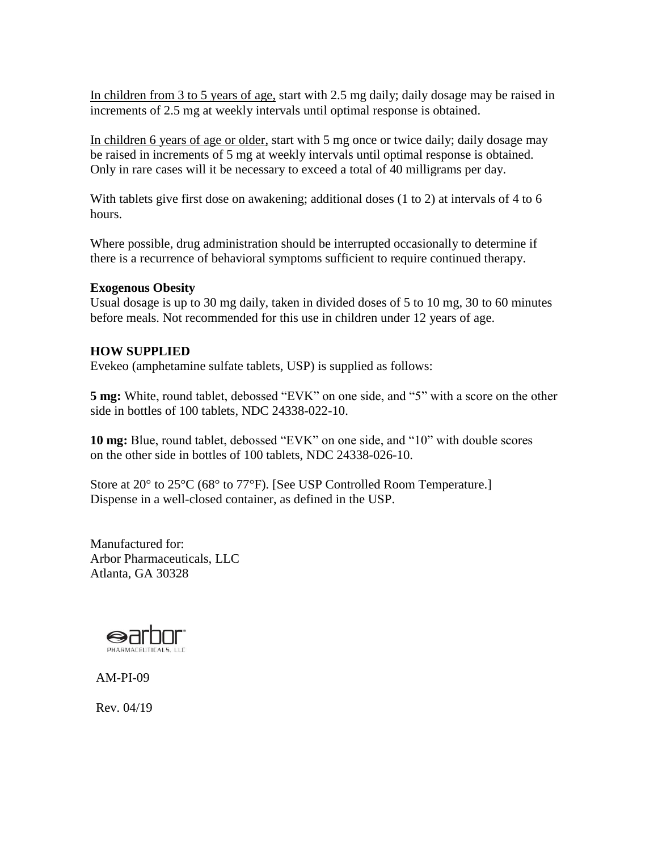In children from 3 to 5 years of age, start with 2.5 mg daily; daily dosage may be raised in increments of 2.5 mg at weekly intervals until optimal response is obtained.

In children 6 years of age or older, start with 5 mg once or twice daily; daily dosage may be raised in increments of 5 mg at weekly intervals until optimal response is obtained. Only in rare cases will it be necessary to exceed a total of 40 milligrams per day.

With tablets give first dose on awakening; additional doses (1 to 2) at intervals of 4 to 6 hours.

Where possible, drug administration should be interrupted occasionally to determine if there is a recurrence of behavioral symptoms sufficient to require continued therapy.

### **Exogenous Obesity**

Usual dosage is up to 30 mg daily, taken in divided doses of 5 to 10 mg, 30 to 60 minutes before meals. Not recommended for this use in children under 12 years of age.

### **HOW SUPPLIED**

Evekeo (amphetamine sulfate tablets, USP) is supplied as follows:

**5 mg:** White, round tablet, debossed "EVK" on one side, and "5" with a score on the other side in bottles of 100 tablets, NDC 24338-022-10.

**10 mg:** Blue, round tablet, debossed "EVK" on one side, and "10" with double scores on the other side in bottles of 100 tablets, NDC 24338-026-10.

Store at 20 $\degree$  to 25 $\degree$ C (68 $\degree$  to 77 $\degree$ F). [See USP Controlled Room Temperature.] Dispense in a well-closed container, as defined in the USP.

Manufactured for: Arbor Pharmaceuticals, LLC Atlanta, GA 30328

 $AM-PI-09$ 

Rev. 04/19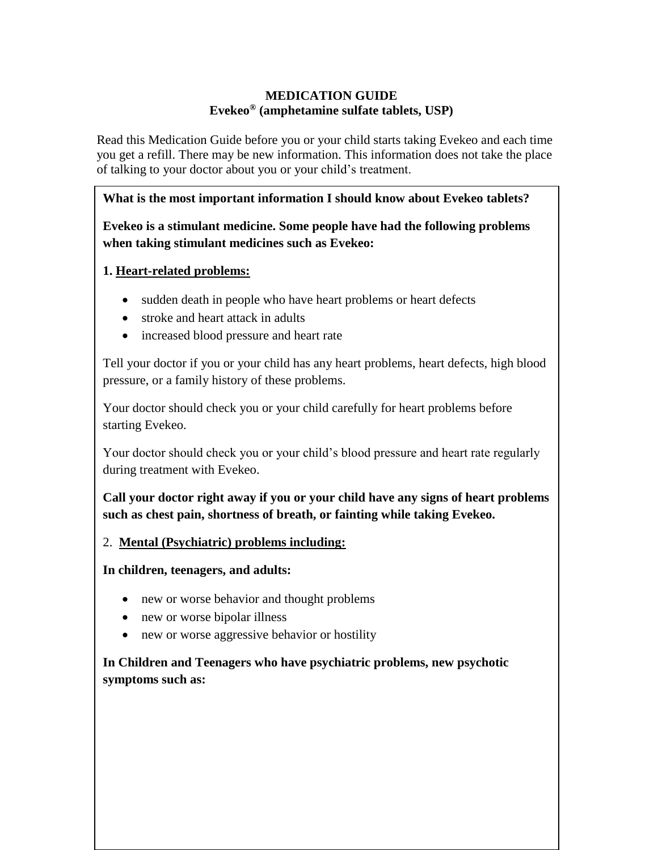## **MEDICATION GUIDE Evekeo® (amphetamine sulfate tablets, USP)**

Read this Medication Guide before you or your child starts taking Evekeo and each time you get a refill. There may be new information. This information does not take the place of talking to your doctor about you or your child's treatment.

## **What is the most important information I should know about Evekeo tablets?**

**Evekeo is a stimulant medicine. Some people have had the following problems when taking stimulant medicines such as Evekeo:**

## **1. Heart-related problems:**

- sudden death in people who have heart problems or heart defects
- stroke and heart attack in adults
- increased blood pressure and heart rate

Tell your doctor if you or your child has any heart problems, heart defects, high blood pressure, or a family history of these problems.

Your doctor should check you or your child carefully for heart problems before starting Evekeo.

Your doctor should check you or your child's blood pressure and heart rate regularly during treatment with Evekeo.

**Call your doctor right away if you or your child have any signs of heart problems such as chest pain, shortness of breath, or fainting while taking Evekeo.**

### 2. **Mental (Psychiatric) problems including:**

**In children, teenagers, and adults:**

- new or worse behavior and thought problems
- new or worse bipolar illness
- new or worse aggressive behavior or hostility

**In Children and Teenagers who have psychiatric problems, new psychotic symptoms such as:**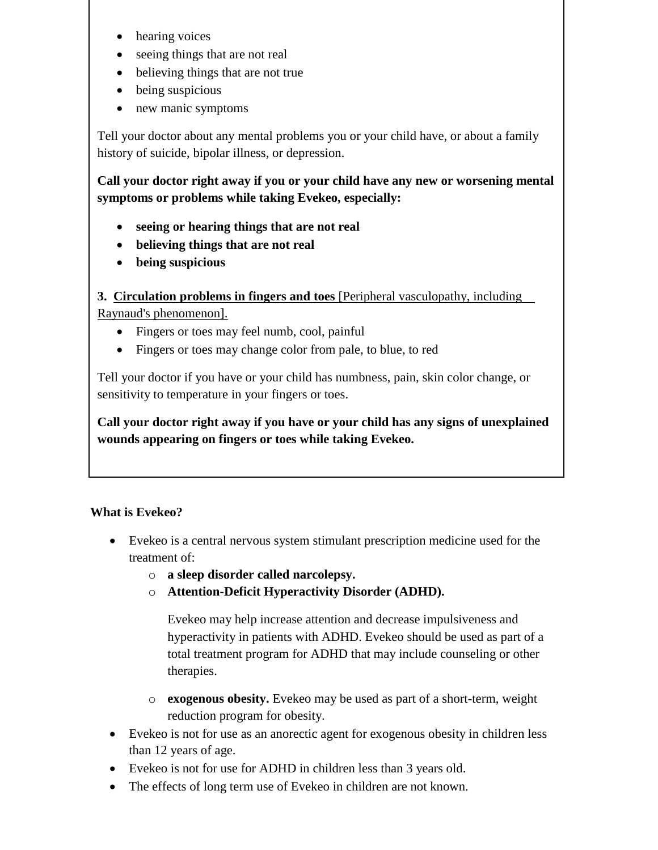- hearing voices
- seeing things that are not real
- believing things that are not true
- being suspicious
- new manic symptoms

Tell your doctor about any mental problems you or your child have, or about a family history of suicide, bipolar illness, or depression.

**Call your doctor right away if you or your child have any new or worsening mental symptoms or problems while taking Evekeo, especially:**

- **seeing or hearing things that are not real**
- **believing things that are not real**
- **being suspicious**

**3. Circulation problems in fingers and toes** [Peripheral vasculopathy, including

Raynaud's phenomenon].

- Fingers or toes may feel numb, cool, painful
- Fingers or toes may change color from pale, to blue, to red

Tell your doctor if you have or your child has numbness, pain, skin color change, or sensitivity to temperature in your fingers or toes.

**Call your doctor right away if you have or your child has any signs of unexplained wounds appearing on fingers or toes while taking Evekeo.**

# **What is Evekeo?**

- Evekeo is a central nervous system stimulant prescription medicine used for the treatment of:
	- o **a sleep disorder called narcolepsy.**
	- o **Attention-Deficit Hyperactivity Disorder (ADHD).**

Evekeo may help increase attention and decrease impulsiveness and hyperactivity in patients with ADHD. Evekeo should be used as part of a total treatment program for ADHD that may include counseling or other therapies.

- o **exogenous obesity.** Evekeo may be used as part of a short-term, weight reduction program for obesity.
- Evekeo is not for use as an anorectic agent for exogenous obesity in children less than 12 years of age.
- Evekeo is not for use for ADHD in children less than 3 years old.
- The effects of long term use of Evekeo in children are not known.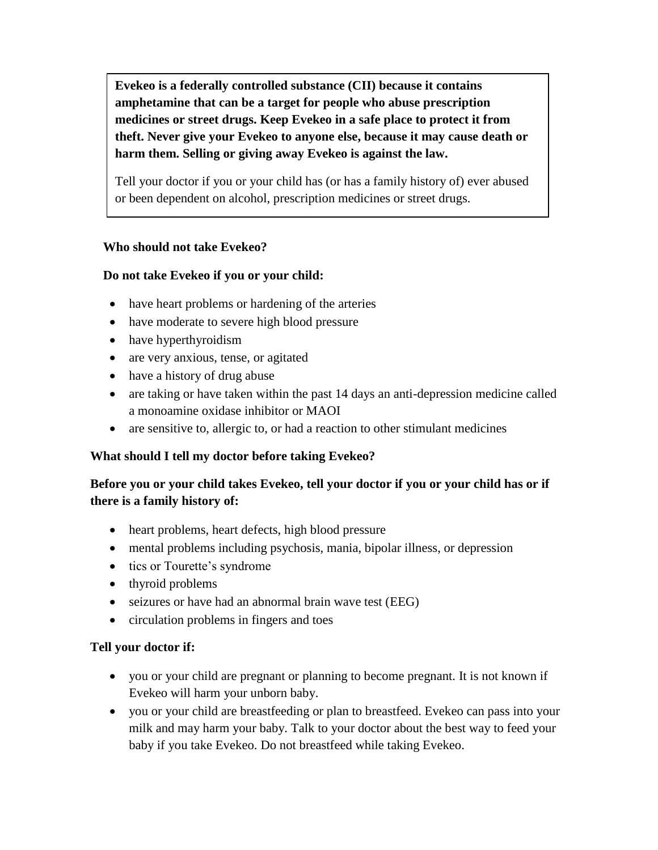**Evekeo is a federally controlled substance (CII) because it contains amphetamine that can be a target for people who abuse prescription medicines or street drugs. Keep Evekeo in a safe place to protect it from theft. Never give your Evekeo to anyone else, because it may cause death or harm them. Selling or giving away Evekeo is against the law.**

Tell your doctor if you or your child has (or has a family history of) ever abused or been dependent on alcohol, prescription medicines or street drugs.

### **Who should not take Evekeo?**

## **Do not take Evekeo if you or your child:**

- have heart problems or hardening of the arteries
- have moderate to severe high blood pressure
- have hyperthyroidism
- are very anxious, tense, or agitated
- have a history of drug abuse
- are taking or have taken within the past 14 days an anti-depression medicine called a monoamine oxidase inhibitor or MAOI
- are sensitive to, allergic to, or had a reaction to other stimulant medicines

### **What should I tell my doctor before taking Evekeo?**

# **Before you or your child takes Evekeo, tell your doctor if you or your child has or if there is a family history of:**

- heart problems, heart defects, high blood pressure
- mental problems including psychosis, mania, bipolar illness, or depression
- tics or Tourette's syndrome
- thyroid problems
- seizures or have had an abnormal brain wave test (EEG)
- circulation problems in fingers and toes

### **Tell your doctor if:**

- you or your child are pregnant or planning to become pregnant. It is not known if Evekeo will harm your unborn baby.
- you or your child are breastfeeding or plan to breastfeed. Evekeo can pass into your milk and may harm your baby. Talk to your doctor about the best way to feed your baby if you take Evekeo. Do not breastfeed while taking Evekeo.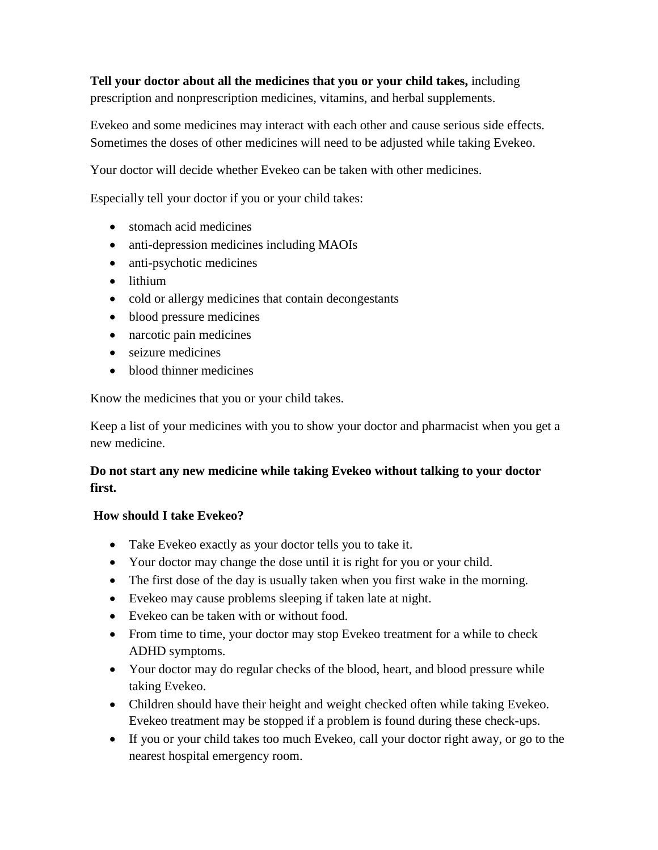**Tell your doctor about all the medicines that you or your child takes,** including prescription and nonprescription medicines, vitamins, and herbal supplements.

Evekeo and some medicines may interact with each other and cause serious side effects. Sometimes the doses of other medicines will need to be adjusted while taking Evekeo.

Your doctor will decide whether Evekeo can be taken with other medicines.

Especially tell your doctor if you or your child takes:

- stomach acid medicines
- anti-depression medicines including MAOIs
- anti-psychotic medicines
- lithium
- cold or allergy medicines that contain decongestants
- blood pressure medicines
- narcotic pain medicines
- seizure medicines
- blood thinner medicines

Know the medicines that you or your child takes.

Keep a list of your medicines with you to show your doctor and pharmacist when you get a new medicine.

# **Do not start any new medicine while taking Evekeo without talking to your doctor first.**

### **How should I take Evekeo?**

- Take Evekeo exactly as your doctor tells you to take it.
- Your doctor may change the dose until it is right for you or your child.
- The first dose of the day is usually taken when you first wake in the morning.
- Evekeo may cause problems sleeping if taken late at night.
- Evekeo can be taken with or without food.
- From time to time, your doctor may stop Evekeo treatment for a while to check ADHD symptoms.
- Your doctor may do regular checks of the blood, heart, and blood pressure while taking Evekeo.
- Children should have their height and weight checked often while taking Evekeo. Evekeo treatment may be stopped if a problem is found during these check-ups.
- If you or your child takes too much Evekeo, call your doctor right away, or go to the nearest hospital emergency room.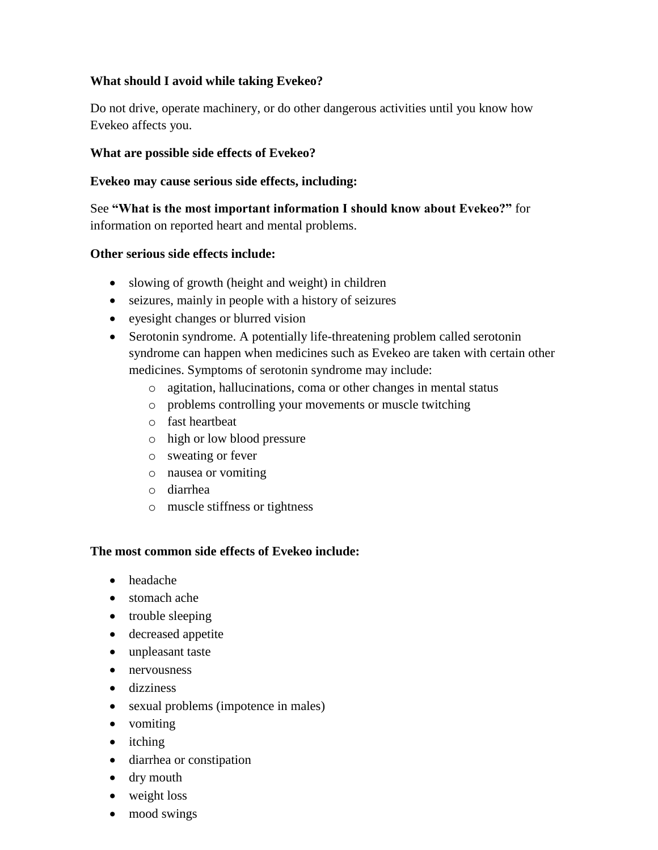### **What should I avoid while taking Evekeo?**

Do not drive, operate machinery, or do other dangerous activities until you know how Evekeo affects you.

#### **What are possible side effects of Evekeo?**

#### **Evekeo may cause serious side effects, including:**

See **"What is the most important information I should know about Evekeo?"** for information on reported heart and mental problems.

#### **Other serious side effects include:**

- slowing of growth (height and weight) in children
- seizures, mainly in people with a history of seizures
- eyesight changes or blurred vision
- Serotonin syndrome. A potentially life-threatening problem called serotonin syndrome can happen when medicines such as Evekeo are taken with certain other medicines. Symptoms of serotonin syndrome may include:
	- o agitation, hallucinations, coma or other changes in mental status
	- o problems controlling your movements or muscle twitching
	- o fast heartbeat
	- o high or low blood pressure
	- o sweating or fever
	- o nausea or vomiting
	- o diarrhea
	- o muscle stiffness or tightness

#### **The most common side effects of Evekeo include:**

- headache
- stomach ache
- trouble sleeping
- decreased appetite
- unpleasant taste
- nervousness
- dizziness
- sexual problems (impotence in males)
- vomiting
- itching
- diarrhea or constipation
- dry mouth
- weight loss
- mood swings